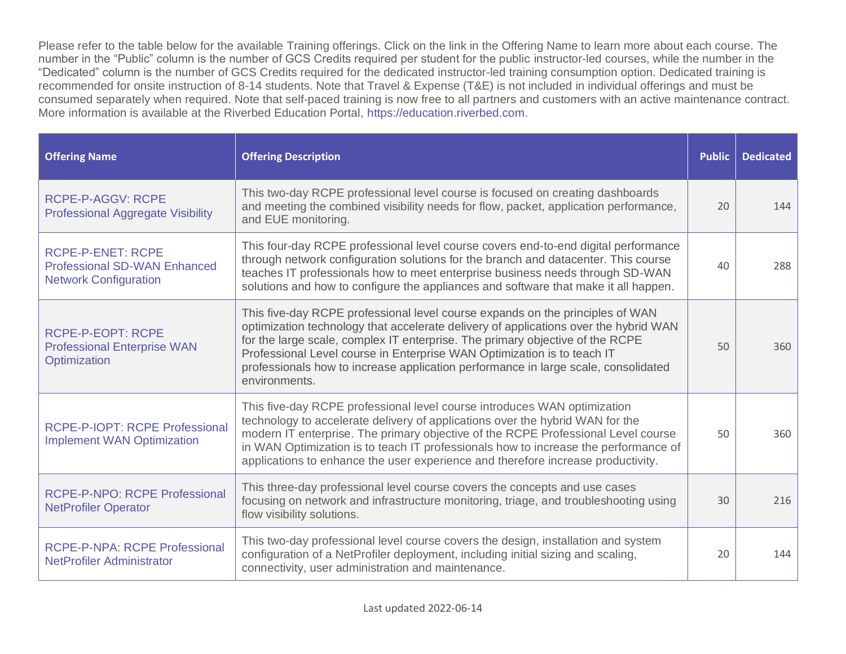Please refer to the table below for the available Training offerings. Click on the link in the Offering Name to learn more about each course. The number in the "Public" column is the number of GCS Credits required per student for the public instructor-led courses, while the number in the "Dedicated" column is the number of GCS Credits required for the dedicated instructor-led training consumption option. Dedicated training is recommended for onsite instruction of 8-14 students. Note that Travel & Expense (T&E) is not included in individual offerings and must be consumed separately when required. Note that self-paced training is now free to all partners and customers with an active maintenance contract. More information is available at the Riverbed Education Portal, [https://education.riverbed.com.](https://education.riverbed.com/)

| <b>Offering Name</b>                                                                            | <b>Offering Description</b>                                                                                                                                                                                                                                                                                                                                                                                                              | <b>Public</b> | <b>Dedicated</b> |
|-------------------------------------------------------------------------------------------------|------------------------------------------------------------------------------------------------------------------------------------------------------------------------------------------------------------------------------------------------------------------------------------------------------------------------------------------------------------------------------------------------------------------------------------------|---------------|------------------|
| <b>RCPE-P-AGGV: RCPE</b><br><b>Professional Aggregate Visibility</b>                            | This two-day RCPE professional level course is focused on creating dashboards<br>and meeting the combined visibility needs for flow, packet, application performance,<br>and EUE monitoring.                                                                                                                                                                                                                                             | 20            | 144              |
| <b>RCPE-P-ENET: RCPE</b><br><b>Professional SD-WAN Enhanced</b><br><b>Network Configuration</b> | This four-day RCPE professional level course covers end-to-end digital performance<br>through network configuration solutions for the branch and datacenter. This course<br>teaches IT professionals how to meet enterprise business needs through SD-WAN<br>solutions and how to configure the appliances and software that make it all happen.                                                                                         | 40            | 288              |
| <b>RCPE-P-EOPT: RCPE</b><br><b>Professional Enterprise WAN</b><br>Optimization                  | This five-day RCPE professional level course expands on the principles of WAN<br>optimization technology that accelerate delivery of applications over the hybrid WAN<br>for the large scale, complex IT enterprise. The primary objective of the RCPE<br>Professional Level course in Enterprise WAN Optimization is to teach IT<br>professionals how to increase application performance in large scale, consolidated<br>environments. | 50            | 360              |
| RCPE-P-IOPT: RCPE Professional<br><b>Implement WAN Optimization</b>                             | This five-day RCPE professional level course introduces WAN optimization<br>technology to accelerate delivery of applications over the hybrid WAN for the<br>modern IT enterprise. The primary objective of the RCPE Professional Level course<br>in WAN Optimization is to teach IT professionals how to increase the performance of<br>applications to enhance the user experience and therefore increase productivity.                | 50            | 360              |
| <b>RCPE-P-NPO: RCPE Professional</b><br><b>NetProfiler Operator</b>                             | This three-day professional level course covers the concepts and use cases<br>focusing on network and infrastructure monitoring, triage, and troubleshooting using<br>flow visibility solutions.                                                                                                                                                                                                                                         | 30            | 216              |
| <b>RCPE-P-NPA: RCPE Professional</b><br><b>NetProfiler Administrator</b>                        | This two-day professional level course covers the design, installation and system<br>configuration of a NetProfiler deployment, including initial sizing and scaling,<br>connectivity, user administration and maintenance.                                                                                                                                                                                                              | 20            | 144              |